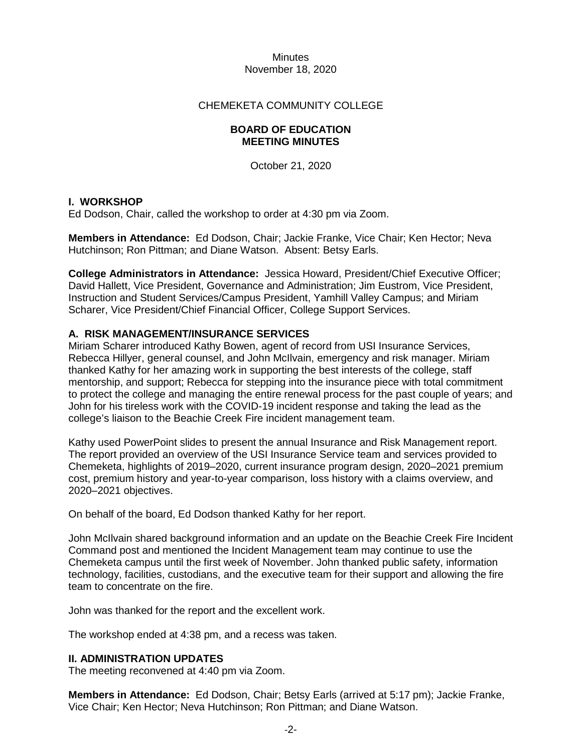## CHEMEKETA COMMUNITY COLLEGE

#### **BOARD OF EDUCATION MEETING MINUTES**

October 21, 2020

## **I. WORKSHOP**

Ed Dodson, Chair, called the workshop to order at 4:30 pm via Zoom.

**Members in Attendance:** Ed Dodson, Chair; Jackie Franke, Vice Chair; Ken Hector; Neva Hutchinson; Ron Pittman; and Diane Watson. Absent: Betsy Earls.

**College Administrators in Attendance:** Jessica Howard, President/Chief Executive Officer; David Hallett, Vice President, Governance and Administration; Jim Eustrom, Vice President, Instruction and Student Services/Campus President, Yamhill Valley Campus; and Miriam Scharer, Vice President/Chief Financial Officer, College Support Services.

## **A. RISK MANAGEMENT/INSURANCE SERVICES**

Miriam Scharer introduced Kathy Bowen, agent of record from USI Insurance Services, Rebecca Hillyer, general counsel, and John McIlvain, emergency and risk manager. Miriam thanked Kathy for her amazing work in supporting the best interests of the college, staff mentorship, and support; Rebecca for stepping into the insurance piece with total commitment to protect the college and managing the entire renewal process for the past couple of years; and John for his tireless work with the COVID-19 incident response and taking the lead as the college's liaison to the Beachie Creek Fire incident management team.

Kathy used PowerPoint slides to present the annual Insurance and Risk Management report. The report provided an overview of the USI Insurance Service team and services provided to Chemeketa, highlights of 2019–2020, current insurance program design, 2020–2021 premium cost, premium history and year-to-year comparison, loss history with a claims overview, and 2020–2021 objectives.

On behalf of the board, Ed Dodson thanked Kathy for her report.

John McIlvain shared background information and an update on the Beachie Creek Fire Incident Command post and mentioned the Incident Management team may continue to use the Chemeketa campus until the first week of November. John thanked public safety, information technology, facilities, custodians, and the executive team for their support and allowing the fire team to concentrate on the fire.

John was thanked for the report and the excellent work.

The workshop ended at 4:38 pm, and a recess was taken.

## **II. ADMINISTRATION UPDATES**

The meeting reconvened at 4:40 pm via Zoom.

**Members in Attendance:** Ed Dodson, Chair; Betsy Earls (arrived at 5:17 pm); Jackie Franke, Vice Chair; Ken Hector; Neva Hutchinson; Ron Pittman; and Diane Watson.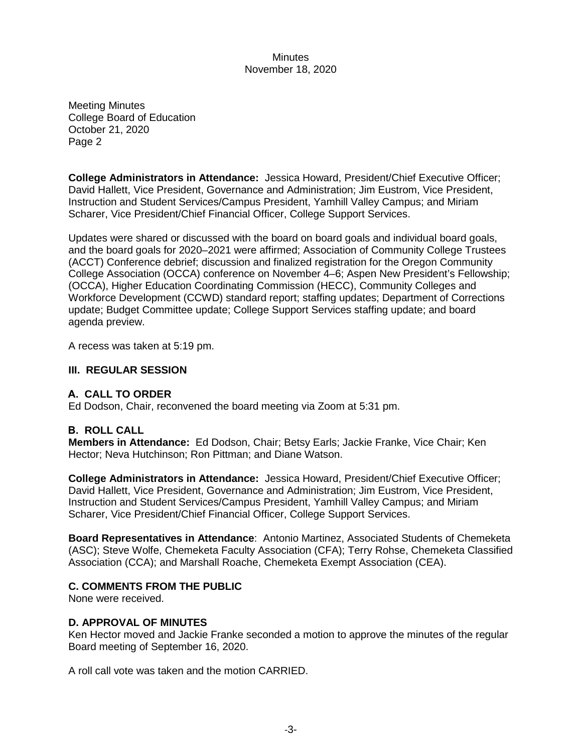Meeting Minutes College Board of Education October 21, 2020 Page 2

**College Administrators in Attendance:** Jessica Howard, President/Chief Executive Officer; David Hallett, Vice President, Governance and Administration; Jim Eustrom, Vice President, Instruction and Student Services/Campus President, Yamhill Valley Campus; and Miriam Scharer, Vice President/Chief Financial Officer, College Support Services.

Updates were shared or discussed with the board on board goals and individual board goals, and the board goals for 2020–2021 were affirmed; Association of Community College Trustees (ACCT) Conference debrief; discussion and finalized registration for the Oregon Community College Association (OCCA) conference on November 4–6; Aspen New President's Fellowship; (OCCA), Higher Education Coordinating Commission (HECC), Community Colleges and Workforce Development (CCWD) standard report; staffing updates; Department of Corrections update; Budget Committee update; College Support Services staffing update; and board agenda preview.

A recess was taken at 5:19 pm.

## **III. REGULAR SESSION**

# **A. CALL TO ORDER**

Ed Dodson, Chair, reconvened the board meeting via Zoom at 5:31 pm.

# **B. ROLL CALL**

**Members in Attendance:** Ed Dodson, Chair; Betsy Earls; Jackie Franke, Vice Chair; Ken Hector; Neva Hutchinson; Ron Pittman; and Diane Watson.

**College Administrators in Attendance:** Jessica Howard, President/Chief Executive Officer; David Hallett, Vice President, Governance and Administration; Jim Eustrom, Vice President, Instruction and Student Services/Campus President, Yamhill Valley Campus; and Miriam Scharer, Vice President/Chief Financial Officer, College Support Services.

**Board Representatives in Attendance**: Antonio Martinez, Associated Students of Chemeketa (ASC); Steve Wolfe, Chemeketa Faculty Association (CFA); Terry Rohse, Chemeketa Classified Association (CCA); and Marshall Roache, Chemeketa Exempt Association (CEA).

#### **C. COMMENTS FROM THE PUBLIC**

None were received.

#### **D. APPROVAL OF MINUTES**

Ken Hector moved and Jackie Franke seconded a motion to approve the minutes of the regular Board meeting of September 16, 2020.

A roll call vote was taken and the motion CARRIED.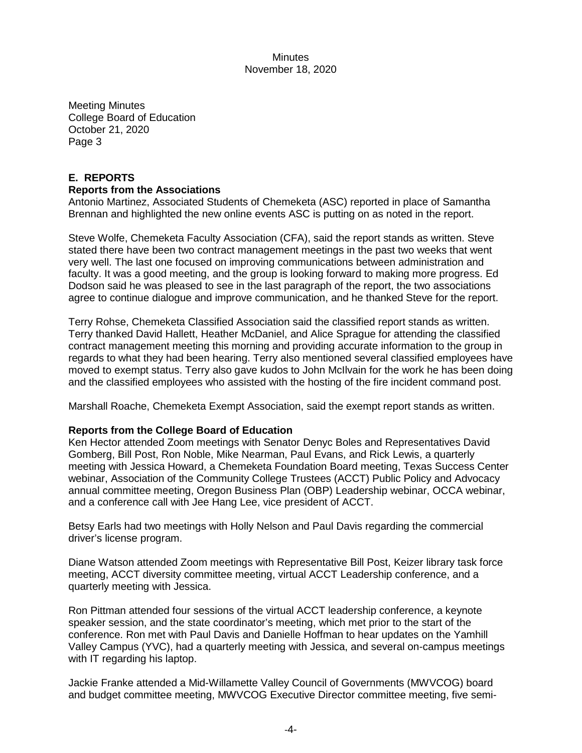Meeting Minutes College Board of Education October 21, 2020 Page 3

# **E. REPORTS**

#### **Reports from the Associations**

Antonio Martinez, Associated Students of Chemeketa (ASC) reported in place of Samantha Brennan and highlighted the new online events ASC is putting on as noted in the report.

Steve Wolfe, Chemeketa Faculty Association (CFA), said the report stands as written. Steve stated there have been two contract management meetings in the past two weeks that went very well. The last one focused on improving communications between administration and faculty. It was a good meeting, and the group is looking forward to making more progress. Ed Dodson said he was pleased to see in the last paragraph of the report, the two associations agree to continue dialogue and improve communication, and he thanked Steve for the report.

Terry Rohse, Chemeketa Classified Association said the classified report stands as written. Terry thanked David Hallett, Heather McDaniel, and Alice Sprague for attending the classified contract management meeting this morning and providing accurate information to the group in regards to what they had been hearing. Terry also mentioned several classified employees have moved to exempt status. Terry also gave kudos to John McIlvain for the work he has been doing and the classified employees who assisted with the hosting of the fire incident command post.

Marshall Roache, Chemeketa Exempt Association, said the exempt report stands as written.

#### **Reports from the College Board of Education**

Ken Hector attended Zoom meetings with Senator Denyc Boles and Representatives David Gomberg, Bill Post, Ron Noble, Mike Nearman, Paul Evans, and Rick Lewis, a quarterly meeting with Jessica Howard, a Chemeketa Foundation Board meeting, Texas Success Center webinar, Association of the Community College Trustees (ACCT) Public Policy and Advocacy annual committee meeting, Oregon Business Plan (OBP) Leadership webinar, OCCA webinar, and a conference call with Jee Hang Lee, vice president of ACCT.

Betsy Earls had two meetings with Holly Nelson and Paul Davis regarding the commercial driver's license program.

Diane Watson attended Zoom meetings with Representative Bill Post, Keizer library task force meeting, ACCT diversity committee meeting, virtual ACCT Leadership conference, and a quarterly meeting with Jessica.

Ron Pittman attended four sessions of the virtual ACCT leadership conference, a keynote speaker session, and the state coordinator's meeting, which met prior to the start of the conference. Ron met with Paul Davis and Danielle Hoffman to hear updates on the Yamhill Valley Campus (YVC), had a quarterly meeting with Jessica, and several on-campus meetings with IT regarding his laptop.

Jackie Franke attended a Mid-Willamette Valley Council of Governments (MWVCOG) board and budget committee meeting, MWVCOG Executive Director committee meeting, five semi-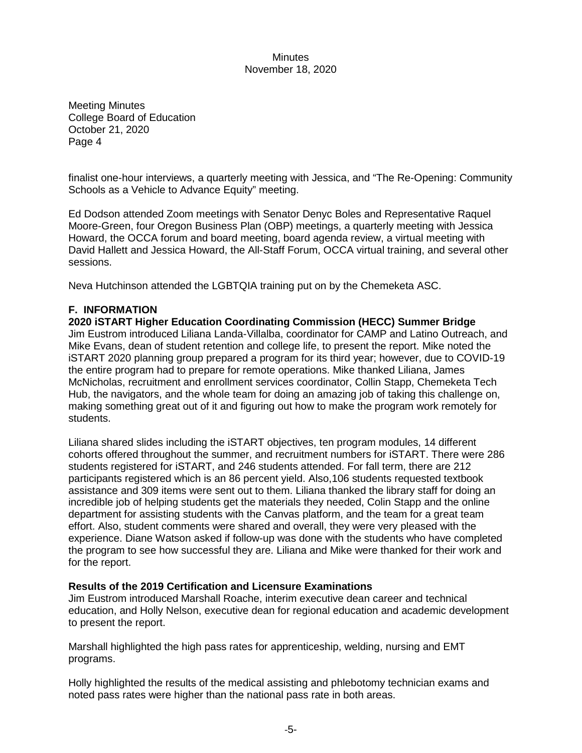Meeting Minutes College Board of Education October 21, 2020 Page 4

finalist one-hour interviews, a quarterly meeting with Jessica, and "The Re-Opening: Community Schools as a Vehicle to Advance Equity" meeting.

Ed Dodson attended Zoom meetings with Senator Denyc Boles and Representative Raquel Moore-Green, four Oregon Business Plan (OBP) meetings, a quarterly meeting with Jessica Howard, the OCCA forum and board meeting, board agenda review, a virtual meeting with David Hallett and Jessica Howard, the All-Staff Forum, OCCA virtual training, and several other sessions.

Neva Hutchinson attended the LGBTQIA training put on by the Chemeketa ASC.

# **F. INFORMATION**

**2020 iSTART Higher Education Coordinating Commission (HECC) Summer Bridge** Jim Eustrom introduced Liliana Landa-Villalba, coordinator for CAMP and Latino Outreach, and Mike Evans, dean of student retention and college life, to present the report. Mike noted the iSTART 2020 planning group prepared a program for its third year; however, due to COVID-19 the entire program had to prepare for remote operations. Mike thanked Liliana, James McNicholas, recruitment and enrollment services coordinator, Collin Stapp, Chemeketa Tech Hub, the navigators, and the whole team for doing an amazing job of taking this challenge on, making something great out of it and figuring out how to make the program work remotely for students.

Liliana shared slides including the iSTART objectives, ten program modules, 14 different cohorts offered throughout the summer, and recruitment numbers for iSTART. There were 286 students registered for iSTART, and 246 students attended. For fall term, there are 212 participants registered which is an 86 percent yield. Also,106 students requested textbook assistance and 309 items were sent out to them. Liliana thanked the library staff for doing an incredible job of helping students get the materials they needed, Colin Stapp and the online department for assisting students with the Canvas platform, and the team for a great team effort. Also, student comments were shared and overall, they were very pleased with the experience. Diane Watson asked if follow-up was done with the students who have completed the program to see how successful they are. Liliana and Mike were thanked for their work and for the report.

#### **Results of the 2019 Certification and Licensure Examinations**

Jim Eustrom introduced Marshall Roache, interim executive dean career and technical education, and Holly Nelson, executive dean for regional education and academic development to present the report.

Marshall highlighted the high pass rates for apprenticeship, welding, nursing and EMT programs.

Holly highlighted the results of the medical assisting and phlebotomy technician exams and noted pass rates were higher than the national pass rate in both areas.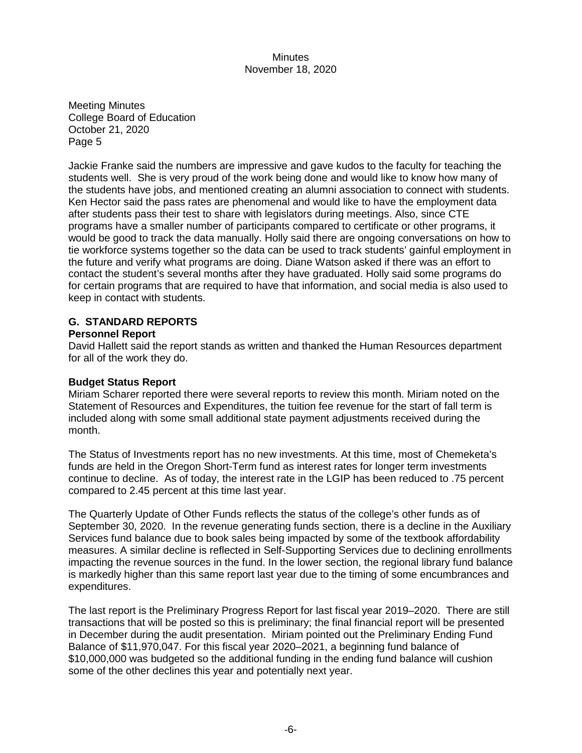Meeting Minutes College Board of Education October 21, 2020 Page 5

Jackie Franke said the numbers are impressive and gave kudos to the faculty for teaching the students well. She is very proud of the work being done and would like to know how many of the students have jobs, and mentioned creating an alumni association to connect with students. Ken Hector said the pass rates are phenomenal and would like to have the employment data after students pass their test to share with legislators during meetings. Also, since CTE programs have a smaller number of participants compared to certificate or other programs, it would be good to track the data manually. Holly said there are ongoing conversations on how to tie workforce systems together so the data can be used to track students' gainful employment in the future and verify what programs are doing. Diane Watson asked if there was an effort to contact the student's several months after they have graduated. Holly said some programs do for certain programs that are required to have that information, and social media is also used to keep in contact with students.

# **G. STANDARD REPORTS**

#### **Personnel Report**

David Hallett said the report stands as written and thanked the Human Resources department for all of the work they do.

#### **Budget Status Report**

Miriam Scharer reported there were several reports to review this month. Miriam noted on the Statement of Resources and Expenditures, the tuition fee revenue for the start of fall term is included along with some small additional state payment adjustments received during the month.

The Status of Investments report has no new investments. At this time, most of Chemeketa's funds are held in the Oregon Short-Term fund as interest rates for longer term investments continue to decline. As of today, the interest rate in the LGIP has been reduced to .75 percent compared to 2.45 percent at this time last year.

The Quarterly Update of Other Funds reflects the status of the college's other funds as of September 30, 2020. In the revenue generating funds section, there is a decline in the Auxiliary Services fund balance due to book sales being impacted by some of the textbook affordability measures. A similar decline is reflected in Self-Supporting Services due to declining enrollments impacting the revenue sources in the fund. In the lower section, the regional library fund balance is markedly higher than this same report last year due to the timing of some encumbrances and expenditures.

The last report is the Preliminary Progress Report for last fiscal year 2019–2020. There are still transactions that will be posted so this is preliminary; the final financial report will be presented in December during the audit presentation. Miriam pointed out the Preliminary Ending Fund Balance of \$11,970,047. For this fiscal year 2020–2021, a beginning fund balance of \$10,000,000 was budgeted so the additional funding in the ending fund balance will cushion some of the other declines this year and potentially next year.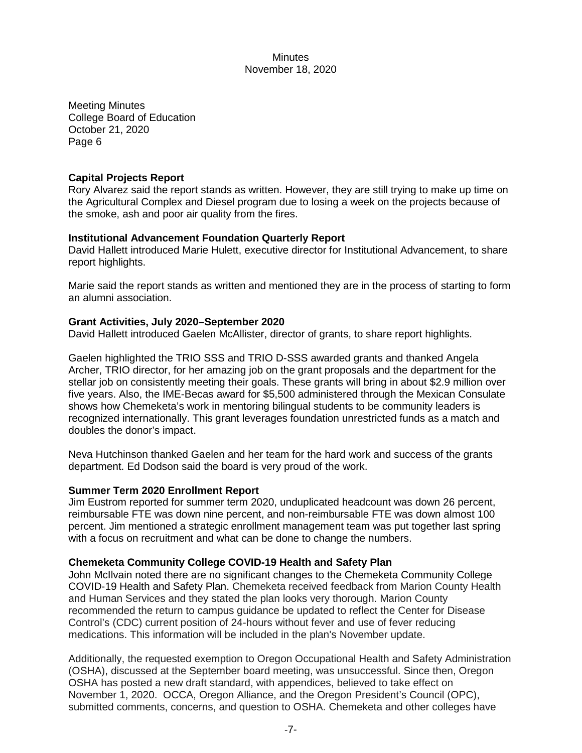Meeting Minutes College Board of Education October 21, 2020 Page 6

#### **Capital Projects Report**

Rory Alvarez said the report stands as written. However, they are still trying to make up time on the Agricultural Complex and Diesel program due to losing a week on the projects because of the smoke, ash and poor air quality from the fires.

#### **Institutional Advancement Foundation Quarterly Report**

David Hallett introduced Marie Hulett, executive director for Institutional Advancement, to share report highlights.

Marie said the report stands as written and mentioned they are in the process of starting to form an alumni association.

#### **Grant Activities, July 2020–September 2020**

David Hallett introduced Gaelen McAllister, director of grants, to share report highlights.

Gaelen highlighted the TRIO SSS and TRIO D-SSS awarded grants and thanked Angela Archer, TRIO director, for her amazing job on the grant proposals and the department for the stellar job on consistently meeting their goals. These grants will bring in about \$2.9 million over five years. Also, the IME-Becas award for \$5,500 administered through the Mexican Consulate shows how Chemeketa's work in mentoring bilingual students to be community leaders is recognized internationally. This grant leverages foundation unrestricted funds as a match and doubles the donor's impact.

Neva Hutchinson thanked Gaelen and her team for the hard work and success of the grants department. Ed Dodson said the board is very proud of the work.

#### **Summer Term 2020 Enrollment Report**

Jim Eustrom reported for summer term 2020, unduplicated headcount was down 26 percent, reimbursable FTE was down nine percent, and non-reimbursable FTE was down almost 100 percent. Jim mentioned a strategic enrollment management team was put together last spring with a focus on recruitment and what can be done to change the numbers.

#### **Chemeketa Community College COVID-19 Health and Safety Plan**

John McIlvain noted there are no significant changes to the Chemeketa Community College COVID-19 Health and Safety Plan. Chemeketa received feedback from Marion County Health and Human Services and they stated the plan looks very thorough. Marion County recommended the return to campus guidance be updated to reflect the Center for Disease Control's (CDC) current position of 24-hours without fever and use of fever reducing medications. This information will be included in the plan's November update.

Additionally, the requested exemption to Oregon Occupational Health and Safety Administration (OSHA), discussed at the September board meeting, was unsuccessful. Since then, Oregon OSHA has posted a new draft standard, with appendices, believed to take effect on November 1, 2020. OCCA, Oregon Alliance, and the Oregon President's Council (OPC), submitted comments, concerns, and question to OSHA. Chemeketa and other colleges have